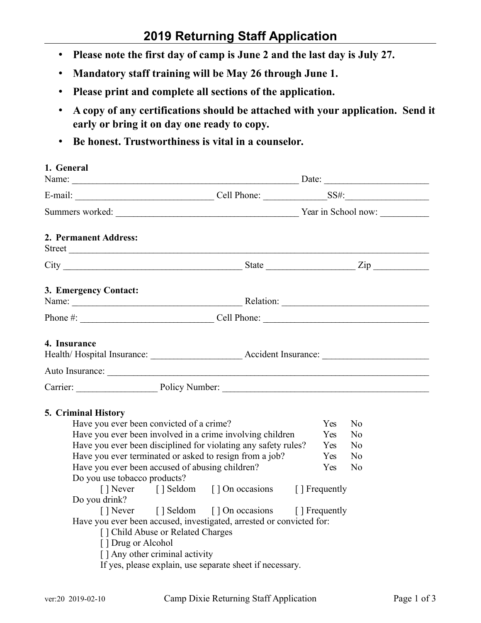# **2019 Returning Staff Application**

- **Please note the first day of camp is June 2 and the last day is July 27.**
- **Mandatory staff training will be May 26 through June 1.**
- **Please print and complete all sections of the application.**
- **A copy of any certifications should be attached with your application. Send it early or bring it on day one ready to copy.**
- **Be honest. Trustworthiness is vital in a counselor.**

| 1. General                                                                                                                                                                                                                                                                                                                                                                                                                                                                                                                                                                                                                                                                                              |                                                                                                                           |
|---------------------------------------------------------------------------------------------------------------------------------------------------------------------------------------------------------------------------------------------------------------------------------------------------------------------------------------------------------------------------------------------------------------------------------------------------------------------------------------------------------------------------------------------------------------------------------------------------------------------------------------------------------------------------------------------------------|---------------------------------------------------------------------------------------------------------------------------|
|                                                                                                                                                                                                                                                                                                                                                                                                                                                                                                                                                                                                                                                                                                         |                                                                                                                           |
|                                                                                                                                                                                                                                                                                                                                                                                                                                                                                                                                                                                                                                                                                                         |                                                                                                                           |
| 2. Permanent Address:<br>Street                                                                                                                                                                                                                                                                                                                                                                                                                                                                                                                                                                                                                                                                         |                                                                                                                           |
|                                                                                                                                                                                                                                                                                                                                                                                                                                                                                                                                                                                                                                                                                                         |                                                                                                                           |
| 3. Emergency Contact:                                                                                                                                                                                                                                                                                                                                                                                                                                                                                                                                                                                                                                                                                   |                                                                                                                           |
|                                                                                                                                                                                                                                                                                                                                                                                                                                                                                                                                                                                                                                                                                                         |                                                                                                                           |
| 4. Insurance                                                                                                                                                                                                                                                                                                                                                                                                                                                                                                                                                                                                                                                                                            |                                                                                                                           |
| Carrier: Policy Number: 2008 Carrier: 2008 Carrier: 2008 Carrier: 2008 Carrier: 2008 Carrier: 2008 Carrier: 2008 Carrier: 2008 Carrier: 2008 Carrier: 2008 Carrier: 2008 Carrier: 2008 Carrier: 2008 Carrier: 2008 Carrier: 20                                                                                                                                                                                                                                                                                                                                                                                                                                                                          |                                                                                                                           |
| 5. Criminal History<br>Have you ever been convicted of a crime?<br>Have you ever been involved in a crime involving children<br>Have you ever been disciplined for violating any safety rules?<br>Have you ever terminated or asked to resign from a job?<br>Have you ever been accused of abusing children?<br>Do you use tobacco products?<br>[] Never [] Seldom [] On occasions [] Frequently<br>Do you drink?<br>[] Never [] Seldom [] On occasions [] Frequently<br>Have you ever been accused, investigated, arrested or convicted for:<br>[ ] Child Abuse or Related Charges<br>[] Drug or Alcohol<br>[] Any other criminal activity<br>If yes, please explain, use separate sheet if necessary. | Yes<br>N <sub>0</sub><br>Yes<br>N <sub>0</sub><br>Yes<br>N <sub>0</sub><br>Yes<br>N <sub>0</sub><br>Yes<br>N <sub>0</sub> |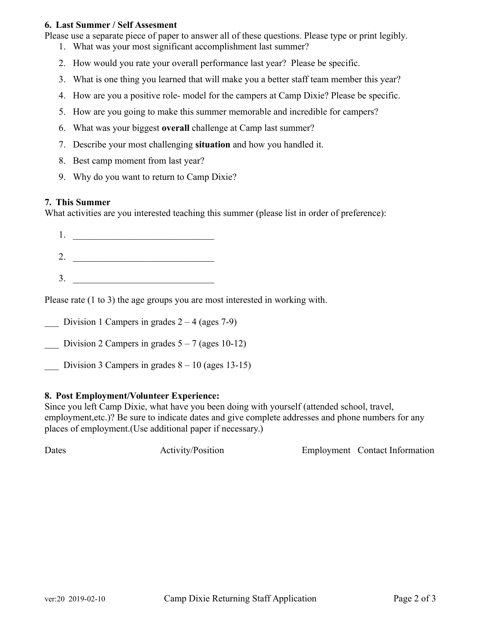### **6. Last Summer / Self Assesment**

Please use a separate piece of paper to answer all of these questions. Please type or print legibly.

- 1. What was your most significant accomplishment last summer?
- 2. How would you rate your overall performance last year? Please be specific.
- 3. What is one thing you learned that will make you a better staff team member this year?
- 4. How are you a positive role- model for the campers at Camp Dixie? Please be specific.
- 5. How are you going to make this summer memorable and incredible for campers?
- 6. What was your biggest **overall** challenge at Camp last summer?
- 7. Describe your most challenging **situation** and how you handled it.
- 8. Best camp moment from last year?
- 9. Why do you want to return to Camp Dixie?

#### **7. This Summer**

What activities are you interested teaching this summer (please list in order of preference):

 $1.$ 2. \_\_\_\_\_\_\_\_\_\_\_\_\_\_\_\_\_\_\_\_\_\_\_\_\_\_\_\_\_\_  $3.$ 

Please rate (1 to 3) the age groups you are most interested in working with.

Division 1 Campers in grades  $2 - 4$  (ages 7-9)

- Division 2 Campers in grades  $5 7$  (ages 10-12)
- Division 3 Campers in grades  $8 10$  (ages 13-15)

### **8. Post Employment/Volunteer Experience:**

Since you left Camp Dixie, what have you been doing with yourself (attended school, travel, employment,etc.)? Be sure to indicate dates and give complete addresses and phone numbers for any places of employment.(Use additional paper if necessary.)

Dates Activity/Position Employment Contact Information